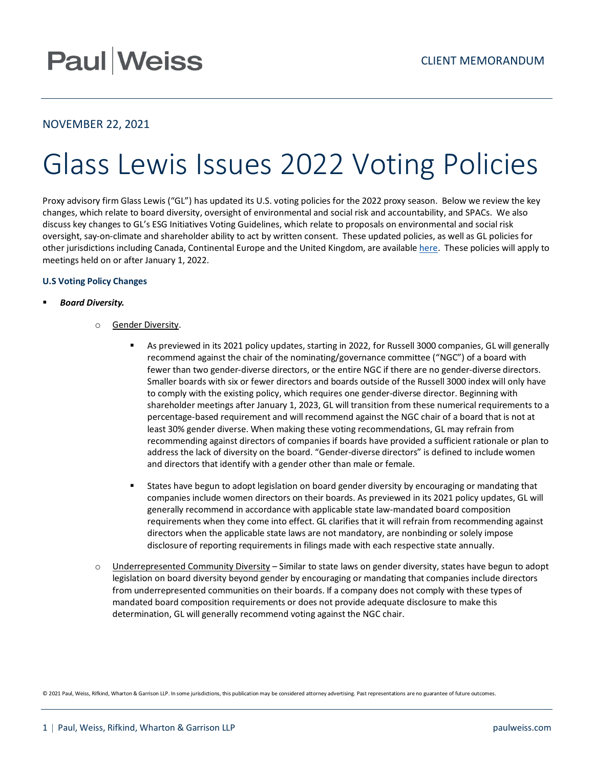## **Paul Weiss**

### NOVEMBER 22, 2021

# Glass Lewis Issues 2022 Voting Policies

Proxy advisory firm Glass Lewis ("GL") has updated its U.S. voting policies for the 2022 proxy season. Below we review the key changes, which relate to board diversity, oversight of environmental and social risk and accountability, and SPACs. We also discuss key changes to GL's ESG Initiatives Voting Guidelines, which relate to proposals on environmental and social risk oversight, say-on-climate and shareholder ability to act by written consent. These updated policies, as well as GL policies for other jurisdictions including Canada, Continental Europe and the United Kingdom, are available [here.](https://www.glasslewis.com/voting-policies-upcoming/) These policies will apply to meetings held on or after January 1, 2022.

### **U.S Voting Policy Changes**

### *Board Diversity.*

- o Gender Diversity.
	- As previewed in its 2021 policy updates, starting in 2022, for Russell 3000 companies, GL will generally recommend against the chair of the nominating/governance committee ("NGC") of a board with fewer than two gender-diverse directors, or the entire NGC if there are no gender-diverse directors. Smaller boards with six or fewer directors and boards outside of the Russell 3000 index will only have to comply with the existing policy, which requires one gender-diverse director. Beginning with shareholder meetings after January 1, 2023, GL will transition from these numerical requirements to a percentage-based requirement and will recommend against the NGC chair of a board that is not at least 30% gender diverse. When making these voting recommendations, GL may refrain from recommending against directors of companies if boards have provided a sufficient rationale or plan to address the lack of diversity on the board. "Gender-diverse directors" is defined to include women and directors that identify with a gender other than male or female.
	- **States have begun to adopt legislation on board gender diversity by encouraging or mandating that** companies include women directors on their boards. As previewed in its 2021 policy updates, GL will generally recommend in accordance with applicable state law-mandated board composition requirements when they come into effect. GL clarifies that it will refrain from recommending against directors when the applicable state laws are not mandatory, are nonbinding or solely impose disclosure of reporting requirements in filings made with each respective state annually.
- o Underrepresented Community Diversity Similar to state laws on gender diversity, states have begun to adopt legislation on board diversity beyond gender by encouraging or mandating that companies include directors from underrepresented communities on their boards. If a company does not comply with these types of mandated board composition requirements or does not provide adequate disclosure to make this determination, GL will generally recommend voting against the NGC chair.

© 2021 Paul, Weiss, Rifkind, Wharton & Garrison LLP. In some jurisdictions, this publication may be considered attorney advertising. Past representations are no guarantee of future outcomes.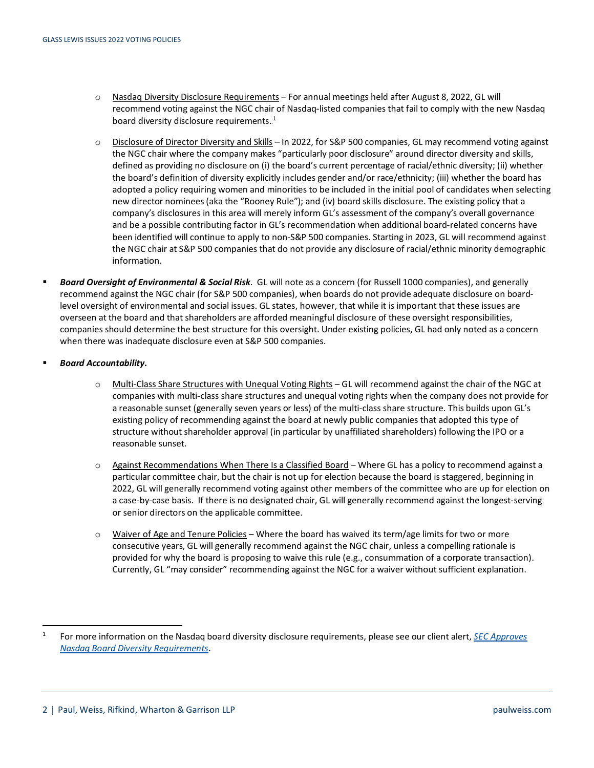- o Nasdaq Diversity Disclosure Requirements For annual meetings held after August 8, 2022, GL will recommend voting against the NGC chair of Nasdaq-listed companies that fail to comply with the new Nasdaq board diversity disclosure requirements. $^{1}$
- o Disclosure of Director Diversity and Skills In 2022, for S&P 500 companies, GL may recommend voting against the NGC chair where the company makes "particularly poor disclosure" around director diversity and skills, defined as providing no disclosure on (i) the board's current percentage of racial/ethnic diversity; (ii) whether the board's definition of diversity explicitly includes gender and/or race/ethnicity; (iii) whether the board has adopted a policy requiring women and minorities to be included in the initial pool of candidates when selecting new director nominees (aka the "Rooney Rule"); and (iv) board skills disclosure. The existing policy that a company's disclosures in this area will merely inform GL's assessment of the company's overall governance and be a possible contributing factor in GL's recommendation when additional board-related concerns have been identified will continue to apply to non-S&P 500 companies. Starting in 2023, GL will recommend against the NGC chair at S&P 500 companies that do not provide any disclosure of racial/ethnic minority demographic information.
- *Board Oversight of Environmental & Social Risk*. GL will note as a concern (for Russell 1000 companies), and generally recommend against the NGC chair (for S&P 500 companies), when boards do not provide adequate disclosure on boardlevel oversight of environmental and social issues. GL states, however, that while it is important that these issues are overseen at the board and that shareholders are afforded meaningful disclosure of these oversight responsibilities, companies should determine the best structure for this oversight. Under existing policies, GL had only noted as a concern when there was inadequate disclosure even at S&P 500 companies.
- *Board Accountability***.** 
	- o Multi-Class Share Structures with Unequal Voting Rights GL will recommend against the chair of the NGC at companies with multi-class share structures and unequal voting rights when the company does not provide for a reasonable sunset (generally seven years or less) of the multi-class share structure. This builds upon GL's existing policy of recommending against the board at newly public companies that adopted this type of structure without shareholder approval (in particular by unaffiliated shareholders) following the IPO or a reasonable sunset.
	- o Against Recommendations When There Is a Classified Board Where GL has a policy to recommend against a particular committee chair, but the chair is not up for election because the board is staggered, beginning in 2022, GL will generally recommend voting against other members of the committee who are up for election on a case-by-case basis. If there is no designated chair, GL will generally recommend against the longest-serving or senior directors on the applicable committee.
	- o Waiver of Age and Tenure Policies Where the board has waived its term/age limits for two or more consecutive years, GL will generally recommend against the NGC chair, unless a compelling rationale is provided for why the board is proposing to waive this rule (e.g., consummation of a corporate transaction). Currently, GL "may consider" recommending against the NGC for a waiver without sufficient explanation.

<sup>1</sup> For more information on the Nasdaq board diversity disclosure requirements, please see our client alert, *[SEC Approves](https://www.paulweiss.com/practices/transactional/capital-markets/publications/sec-approves-nasdaq-board-diversity-requirements?id=40690)  [Nasdaq Board Diversity Requirements](https://www.paulweiss.com/practices/transactional/capital-markets/publications/sec-approves-nasdaq-board-diversity-requirements?id=40690)*.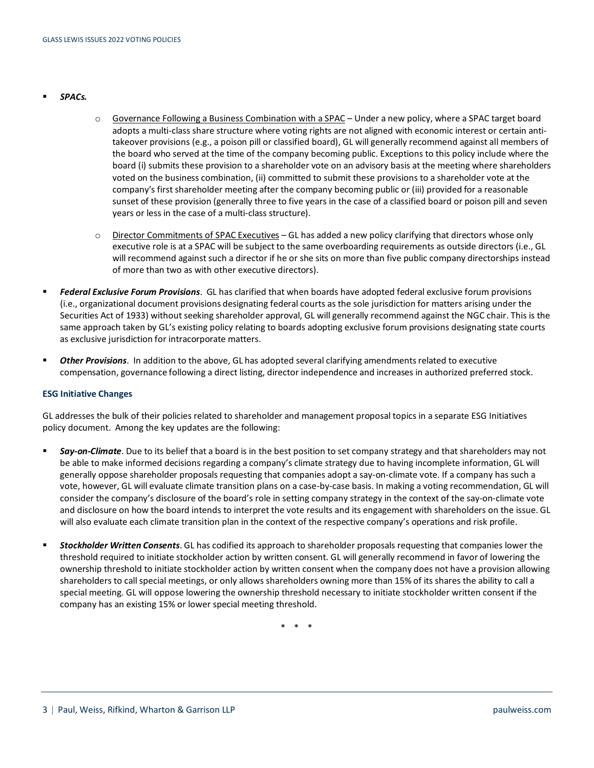- *SPACs.*
- o Governance Following a Business Combination with a SPAC Under a new policy, where a SPAC target board adopts a multi-class share structure where voting rights are not aligned with economic interest or certain antitakeover provisions (e.g., a poison pill or classified board), GL will generally recommend against all members of the board who served at the time of the company becoming public. Exceptions to this policy include where the board (i) submits these provision to a shareholder vote on an advisory basis at the meeting where shareholders voted on the business combination, (ii) committed to submit these provisions to a shareholder vote at the company's first shareholder meeting after the company becoming public or (iii) provided for a reasonable sunset of these provision (generally three to five years in the case of a classified board or poison pill and seven years or less in the case of a multi-class structure).
- o Director Commitments of SPAC Executives GL has added a new policy clarifying that directors whose only executive role is at a SPAC will be subject to the same overboarding requirements as outside directors (i.e., GL will recommend against such a director if he or she sits on more than five public company directorships instead of more than two as with other executive directors).
- *Federal Exclusive Forum Provisions*. GL has clarified that when boards have adopted federal exclusive forum provisions (i.e., organizational document provisions designating federal courts as the sole jurisdiction for matters arising under the Securities Act of 1933) without seeking shareholder approval, GL will generally recommend against the NGC chair. This is the same approach taken by GL's existing policy relating to boards adopting exclusive forum provisions designating state courts as exclusive jurisdiction for intracorporate matters.
- *Other Provisions*. In addition to the above, GL has adopted several clarifying amendments related to executive compensation, governance following a direct listing, director independence and increases in authorized preferred stock.

#### **ESG Initiative Changes**

GL addresses the bulk of their policies related to shareholder and management proposal topics in a separate ESG Initiatives policy document. Among the key updates are the following:

- *Say-on-Climate*. Due to its belief that a board is in the best position to set company strategy and that shareholders may not be able to make informed decisions regarding a company's climate strategy due to having incomplete information, GL will generally oppose shareholder proposals requesting that companies adopt a say-on-climate vote. If a company has such a vote, however, GL will evaluate climate transition plans on a case-by-case basis. In making a voting recommendation, GL will consider the company's disclosure of the board's role in setting company strategy in the context of the say-on-climate vote and disclosure on how the board intends to interpret the vote results and its engagement with shareholders on the issue. GL will also evaluate each climate transition plan in the context of the respective company's operations and risk profile.
- *Stockholder Written Consents*. GL has codified its approach to shareholder proposals requesting that companies lower the threshold required to initiate stockholder action by written consent. GL will generally recommend in favor of lowering the ownership threshold to initiate stockholder action by written consent when the company does not have a provision allowing shareholders to call special meetings, or only allows shareholders owning more than 15% of its shares the ability to call a special meeting. GL will oppose lowering the ownership threshold necessary to initiate stockholder written consent if the company has an existing 15% or lower special meeting threshold.

\* \* \*